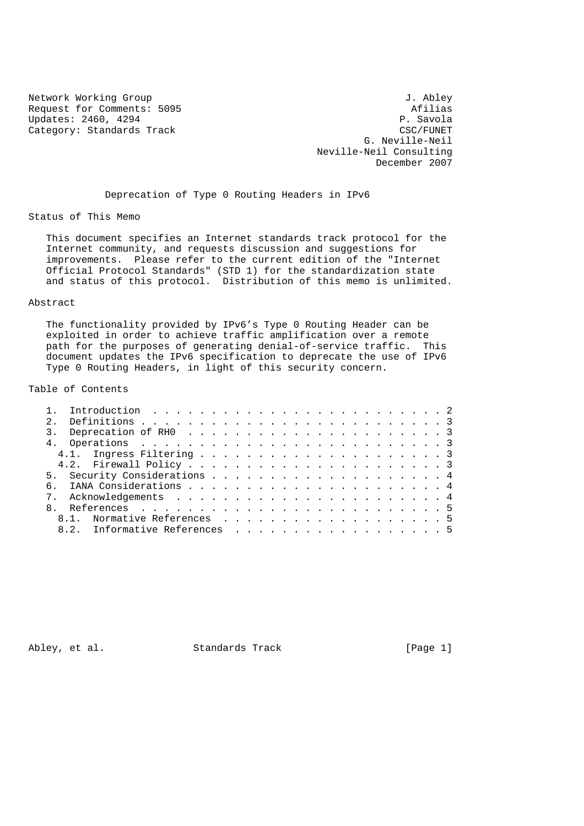Request for Comments: 5095 Updates: 2460, 4294 P. Savola Category: Standards Track CSC/FUNET

Network Working Group<br>Request for Comments: 5095 and the settlement of the Afilias G. Neville-Neil Neville-Neil Consulting December 2007

Deprecation of Type 0 Routing Headers in IPv6

Status of This Memo

 This document specifies an Internet standards track protocol for the Internet community, and requests discussion and suggestions for improvements. Please refer to the current edition of the "Internet Official Protocol Standards" (STD 1) for the standardization state and status of this protocol. Distribution of this memo is unlimited.

#### Abstract

 The functionality provided by IPv6's Type 0 Routing Header can be exploited in order to achieve traffic amplification over a remote path for the purposes of generating denial-of-service traffic. This document updates the IPv6 specification to deprecate the use of IPv6 Type 0 Routing Headers, in light of this security concern.

Table of Contents

|  | 8.1. Normative References 5   |  |  |  |  |  |  |  |  |  |  |  |  |
|--|-------------------------------|--|--|--|--|--|--|--|--|--|--|--|--|
|  | 8.2. Informative References 5 |  |  |  |  |  |  |  |  |  |  |  |  |

Abley, et al. Standards Track [Page 1]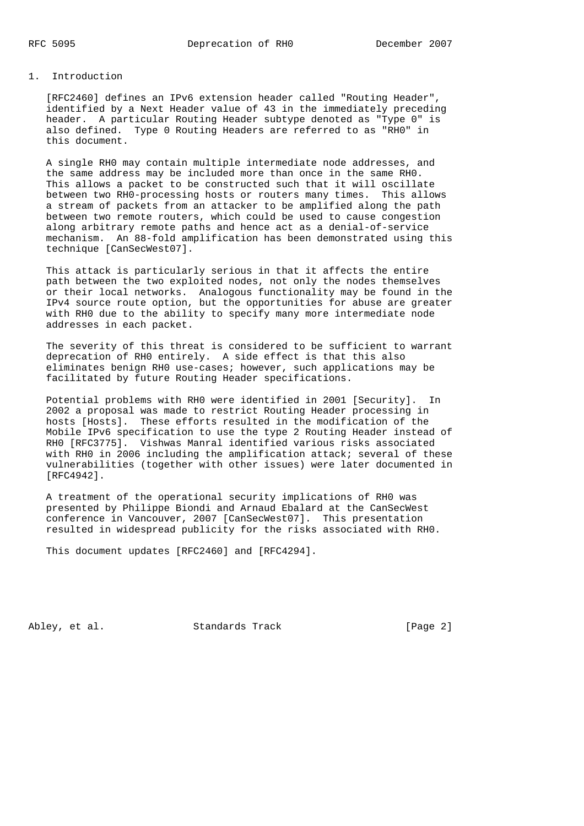#### 1. Introduction

 [RFC2460] defines an IPv6 extension header called "Routing Header", identified by a Next Header value of 43 in the immediately preceding header. A particular Routing Header subtype denoted as "Type 0" is also defined. Type 0 Routing Headers are referred to as "RH0" in this document.

 A single RH0 may contain multiple intermediate node addresses, and the same address may be included more than once in the same RH0. This allows a packet to be constructed such that it will oscillate between two RH0-processing hosts or routers many times. This allows a stream of packets from an attacker to be amplified along the path between two remote routers, which could be used to cause congestion along arbitrary remote paths and hence act as a denial-of-service mechanism. An 88-fold amplification has been demonstrated using this technique [CanSecWest07].

 This attack is particularly serious in that it affects the entire path between the two exploited nodes, not only the nodes themselves or their local networks. Analogous functionality may be found in the IPv4 source route option, but the opportunities for abuse are greater with RH0 due to the ability to specify many more intermediate node addresses in each packet.

 The severity of this threat is considered to be sufficient to warrant deprecation of RH0 entirely. A side effect is that this also eliminates benign RH0 use-cases; however, such applications may be facilitated by future Routing Header specifications.

 Potential problems with RH0 were identified in 2001 [Security]. In 2002 a proposal was made to restrict Routing Header processing in hosts [Hosts]. These efforts resulted in the modification of the Mobile IPv6 specification to use the type 2 Routing Header instead of RH0 [RFC3775]. Vishwas Manral identified various risks associated with RH0 in 2006 including the amplification attack; several of these vulnerabilities (together with other issues) were later documented in [RFC4942].

 A treatment of the operational security implications of RH0 was presented by Philippe Biondi and Arnaud Ebalard at the CanSecWest conference in Vancouver, 2007 [CanSecWest07]. This presentation resulted in widespread publicity for the risks associated with RH0.

This document updates [RFC2460] and [RFC4294].

Abley, et al. Standards Track [Page 2]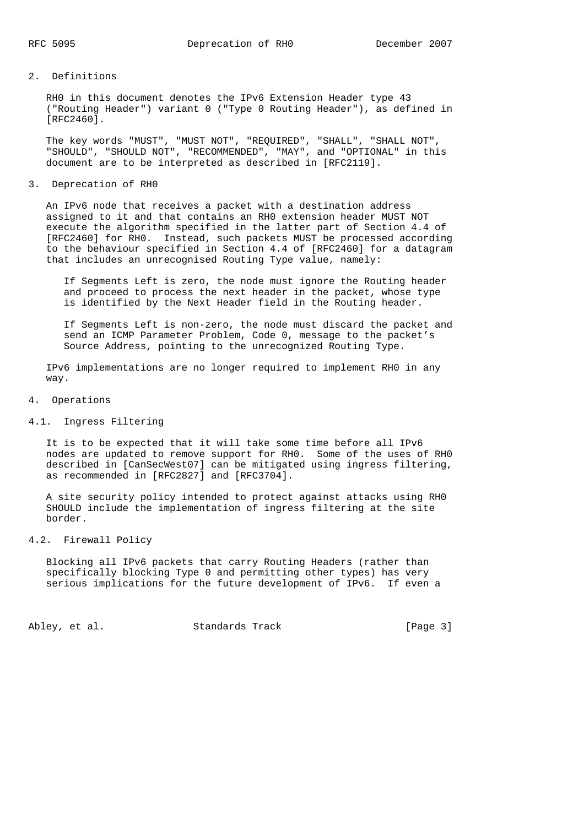### 2. Definitions

 RH0 in this document denotes the IPv6 Extension Header type 43 ("Routing Header") variant 0 ("Type 0 Routing Header"), as defined in [RFC2460].

 The key words "MUST", "MUST NOT", "REQUIRED", "SHALL", "SHALL NOT", "SHOULD", "SHOULD NOT", "RECOMMENDED", "MAY", and "OPTIONAL" in this document are to be interpreted as described in [RFC2119].

3. Deprecation of RH0

 An IPv6 node that receives a packet with a destination address assigned to it and that contains an RH0 extension header MUST NOT execute the algorithm specified in the latter part of Section 4.4 of [RFC2460] for RH0. Instead, such packets MUST be processed according to the behaviour specified in Section 4.4 of [RFC2460] for a datagram that includes an unrecognised Routing Type value, namely:

 If Segments Left is zero, the node must ignore the Routing header and proceed to process the next header in the packet, whose type is identified by the Next Header field in the Routing header.

 If Segments Left is non-zero, the node must discard the packet and send an ICMP Parameter Problem, Code 0, message to the packet's Source Address, pointing to the unrecognized Routing Type.

 IPv6 implementations are no longer required to implement RH0 in any way.

- 4. Operations
- 4.1. Ingress Filtering

 It is to be expected that it will take some time before all IPv6 nodes are updated to remove support for RH0. Some of the uses of RH0 described in [CanSecWest07] can be mitigated using ingress filtering, as recommended in [RFC2827] and [RFC3704].

 A site security policy intended to protect against attacks using RH0 SHOULD include the implementation of ingress filtering at the site border.

4.2. Firewall Policy

 Blocking all IPv6 packets that carry Routing Headers (rather than specifically blocking Type 0 and permitting other types) has very serious implications for the future development of IPv6. If even a

Abley, et al. Standards Track [Page 3]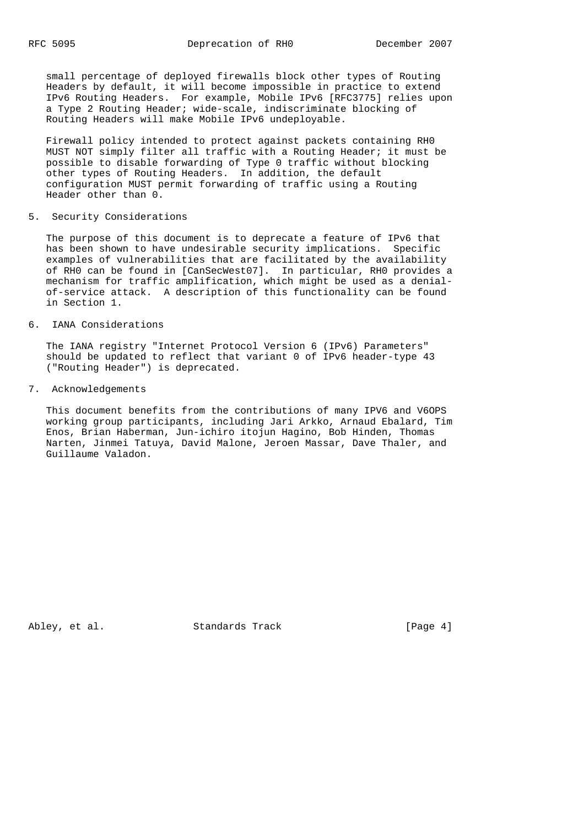small percentage of deployed firewalls block other types of Routing Headers by default, it will become impossible in practice to extend IPv6 Routing Headers. For example, Mobile IPv6 [RFC3775] relies upon a Type 2 Routing Header; wide-scale, indiscriminate blocking of Routing Headers will make Mobile IPv6 undeployable.

 Firewall policy intended to protect against packets containing RH0 MUST NOT simply filter all traffic with a Routing Header; it must be possible to disable forwarding of Type 0 traffic without blocking other types of Routing Headers. In addition, the default configuration MUST permit forwarding of traffic using a Routing Header other than 0.

## 5. Security Considerations

 The purpose of this document is to deprecate a feature of IPv6 that has been shown to have undesirable security implications. Specific examples of vulnerabilities that are facilitated by the availability of RH0 can be found in [CanSecWest07]. In particular, RH0 provides a mechanism for traffic amplification, which might be used as a denial of-service attack. A description of this functionality can be found in Section 1.

6. IANA Considerations

 The IANA registry "Internet Protocol Version 6 (IPv6) Parameters" should be updated to reflect that variant 0 of IPv6 header-type 43 ("Routing Header") is deprecated.

7. Acknowledgements

 This document benefits from the contributions of many IPV6 and V6OPS working group participants, including Jari Arkko, Arnaud Ebalard, Tim Enos, Brian Haberman, Jun-ichiro itojun Hagino, Bob Hinden, Thomas Narten, Jinmei Tatuya, David Malone, Jeroen Massar, Dave Thaler, and Guillaume Valadon.

Abley, et al. Standards Track [Page 4]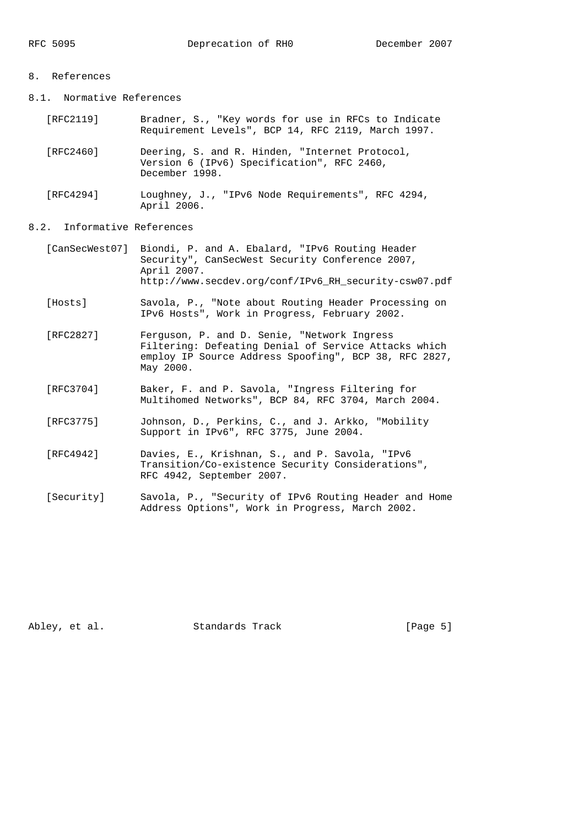### 8. References

8.1. Normative References

| [RFC2119] | Bradner, S., "Key words for use in RFCs to Indicate |  |  |  |  |  |
|-----------|-----------------------------------------------------|--|--|--|--|--|
|           | Requirement Levels", BCP 14, RFC 2119, March 1997.  |  |  |  |  |  |

 [RFC2460] Deering, S. and R. Hinden, "Internet Protocol, Version 6 (IPv6) Specification", RFC 2460, December 1998.

 [RFC4294] Loughney, J., "IPv6 Node Requirements", RFC 4294, April 2006.

# 8.2. Informative References

- [CanSecWest07] Biondi, P. and A. Ebalard, "IPv6 Routing Header Security", CanSecWest Security Conference 2007, April 2007. http://www.secdev.org/conf/IPv6\_RH\_security-csw07.pdf
- [Hosts] Savola, P., "Note about Routing Header Processing on IPv6 Hosts", Work in Progress, February 2002.
- [RFC2827] Ferguson, P. and D. Senie, "Network Ingress Filtering: Defeating Denial of Service Attacks which employ IP Source Address Spoofing", BCP 38, RFC 2827, May 2000.
	- [RFC3704] Baker, F. and P. Savola, "Ingress Filtering for Multihomed Networks", BCP 84, RFC 3704, March 2004.
	- [RFC3775] Johnson, D., Perkins, C., and J. Arkko, "Mobility Support in IPv6", RFC 3775, June 2004.
	- [RFC4942] Davies, E., Krishnan, S., and P. Savola, "IPv6 Transition/Co-existence Security Considerations", RFC 4942, September 2007.
	- [Security] Savola, P., "Security of IPv6 Routing Header and Home Address Options", Work in Progress, March 2002.

Abley, et al. Standards Track [Page 5]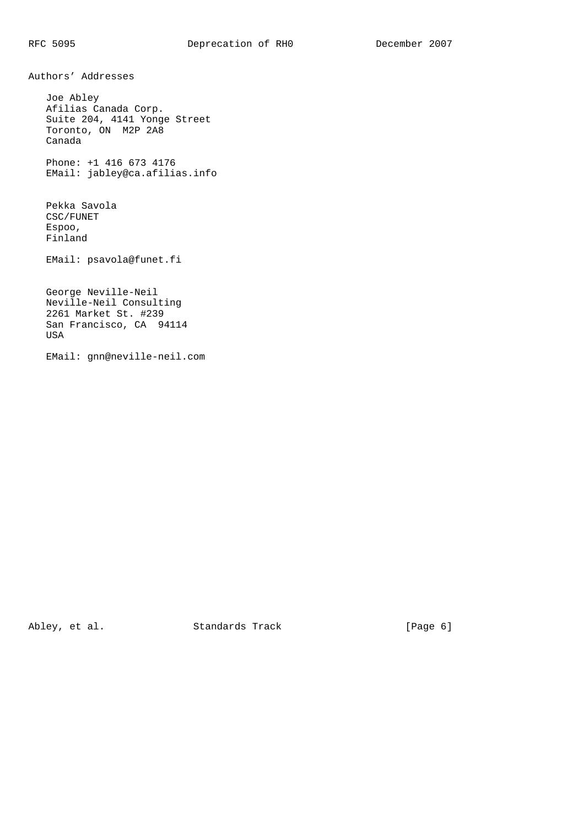Authors' Addresses

 Joe Abley Afilias Canada Corp. Suite 204, 4141 Yonge Street Toronto, ON M2P 2A8 Canada

 Phone: +1 416 673 4176 EMail: jabley@ca.afilias.info

 Pekka Savola CSC/FUNET Espoo, Finland

EMail: psavola@funet.fi

 George Neville-Neil Neville-Neil Consulting 2261 Market St. #239 San Francisco, CA 94114 USA

EMail: gnn@neville-neil.com

Abley, et al. Standards Track [Page 6]